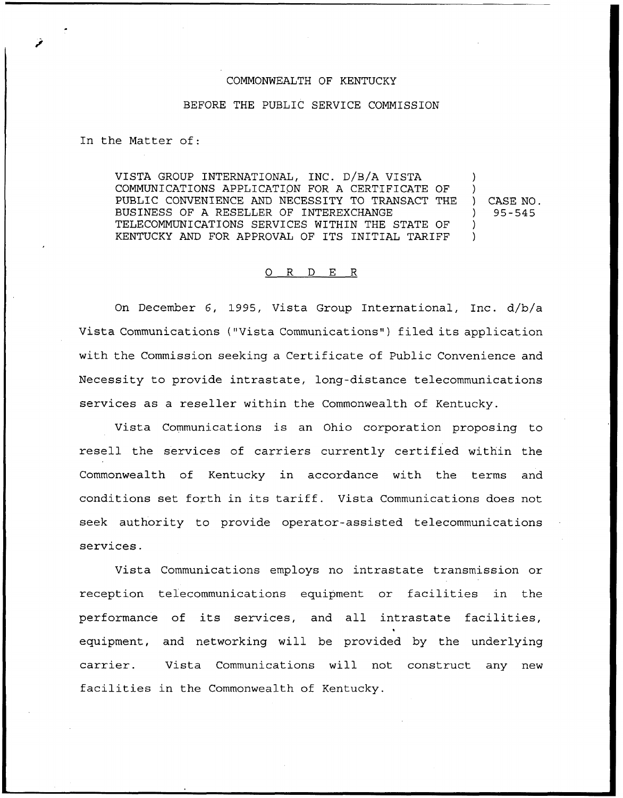## COMMONWEALTH OF KENTUCKY

## BEFORE THE PUBLIC SERVICE COMMISSION

In the Matter of:

VISTA GROUP INTERNATIONAL, INC. D/B/A VISTA COMMUNICATIONS APPLICATION FOR A CERTIFICATE OF PUBLIC CONVENIENCE AND NECESSITY TO TRANSACT THE BUSINESS OF A RESELLER OF INTEREXCHANGE TELECOMMUNICATIONS SERVICES WITHIN THE STATE OF KENTUCKY AND FOR APPROVAL OF ITS INITIAL TARIFF ) ) ) )

) CASE NO. ) 95-5<5

## 0 R <sup>D</sup> E R

On December 6, 1995, Vista Group International, Inc. d/b/a Vista Communications ("Vista Communications" ) filed its application with the Commission seeking a Certificate of Public Convenience and Necessity to provide intrastate, long-distance telecommunications services as a reseller within the Commonwealth of Kentucky.

Vista Communications is an Ohio corporation proposing to resell the services of carriers currently certified within the Commonwealth of Kentucky in accordance with the terms and conditions set forth in its tariff. Vista Communications does not seek authority to provide operator-assisted telecommunications services.

Vista Communications employs no intrastate transmission or reception telecommunications equipment or facilities in the performance of its services, and all intrastate facilities, 1 equipment, and networking will be provided by the underlying carrier. Vista Communications will not construct any new facilities in the Commonwealth of Kentucky.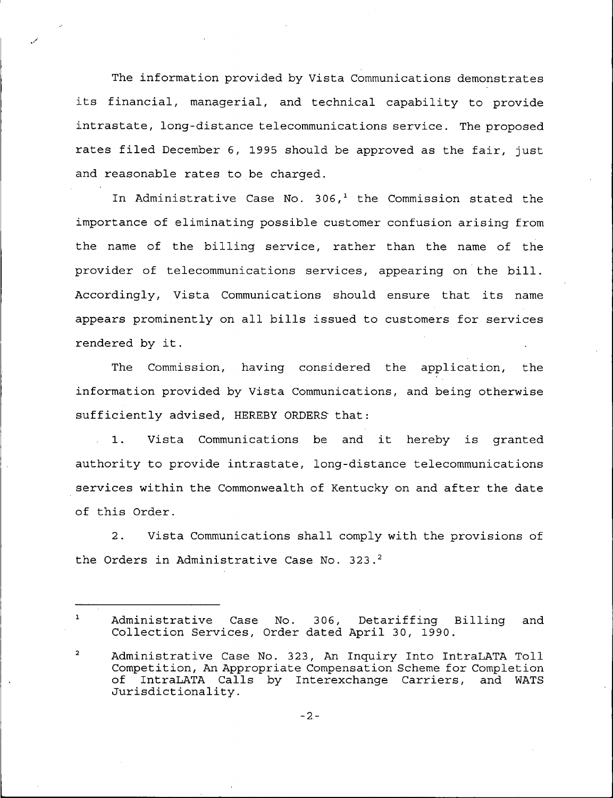The information provided by Vista Communications demonstrates its financial, managerial, and technical capability to provide intrastate, long-distance telecommunications service. The proposed rates filed December 6, 1995 should be approved as the fair, just and reasonable rates to be charged.

In Administrative Case No. 306,<sup>1</sup> the Commission stated the importance of eliminating possible customer confusion arising from the name of the billing service, rather than the name of the provider of telecommunications services, appearing on the bill. Accordingly, Vista Communications should ensure that its name appears prominently on all bills issued to customers for services rendered by it.

The Commission, having considered the application, the information provided by Vista Communications, and being otherwise sufficiently advised, HEREBY ORDERS that:

1. Vista Communications be and it hereby is granted authority to provide intrastate, long-distance telecommunications services within the Commonwealth of Kentucky on and after the date of this Order.

2. Vista Communications shall comply with the provisions of the Orders in Administrative Case No. 323.<sup>2</sup>

 $\mathbf{1}$ Case No. 306, Detariffing Billing and Administrative Case No. 306, Detariffing 1<br>Collection Services, Order dated April 30, 1990.

 $\overline{a}$ Administrative Case No. 323, An Inquiry Into IntraLATA Toll Competition, An Appropriate Compensation Scheme for Completion<br>of IntraLATA Calls by Interexchange Carriers, and WATS of IntraLATA Calls by Interexchange Carriers,<br>Jurisdictionality.